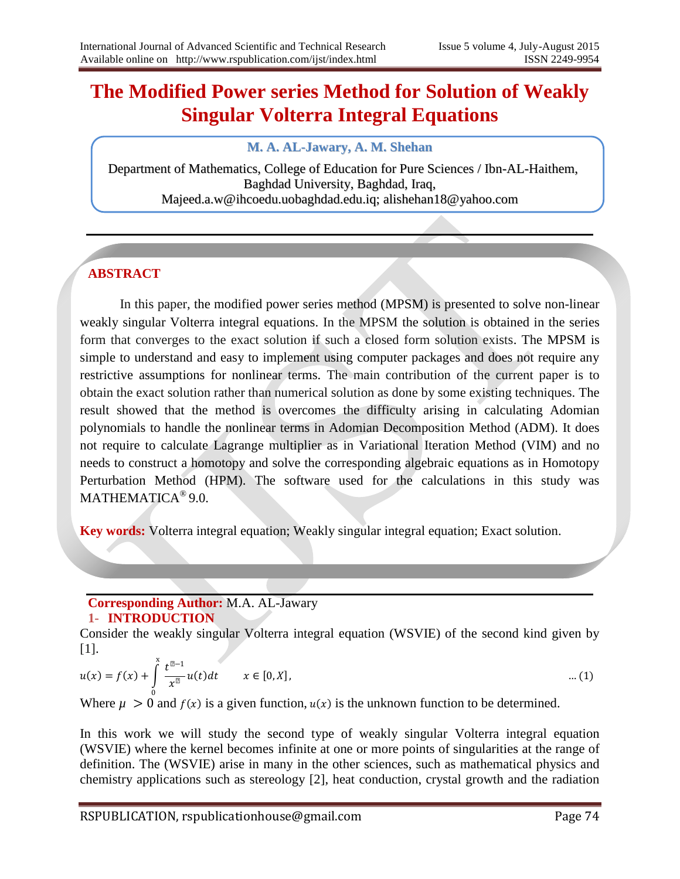# **The Modified Power series Method for Solution of Weakly Singular Volterra Integral Equations**

# **M. A. AL-Jawary, A. M. Shehan**

Department of Mathematics, College of Education for Pure Sciences / Ibn-AL-Haithem, Baghdad University, Baghdad, Iraq, Majeed.a.w@ihcoedu.uobaghdad.edu.iq; alishehan18@yahoo.com

# **ABSTRACT**

In this paper, the modified power series method (MPSM) is presented to solve non-linear weakly singular Volterra integral equations. In the MPSM the solution is obtained in the series form that converges to the exact solution if such a closed form solution exists. The MPSM is simple to understand and easy to implement using computer packages and does not require any restrictive assumptions for nonlinear terms. The main contribution of the current paper is to obtain the exact solution rather than numerical solution as done by some existing techniques. The result showed that the method is overcomes the difficulty arising in calculating Adomian polynomials to handle the nonlinear terms in Adomian Decomposition Method (ADM). It does not require to calculate Lagrange multiplier as in Variational Iteration Method (VIM) and no needs to construct a homotopy and solve the corresponding algebraic equations as in Homotopy Perturbation Method (HPM). The software used for the calculations in this study was MATHEMATICA® 9.0.

**Key words:** Volterra integral equation; Weakly singular integral equation; Exact solution.

# **Corresponding Author:** M.A. AL-Jawary

# **1- INTRODUCTION**

.

Consider the weakly singular Volterra integral equation (WSVIE) of the second kind given by [1].

$$
u(x) = f(x) + \int_{0}^{x} \frac{t^{\mu-1}}{x^{\mu}} u(t) dt \qquad x \in [0, X],
$$
 ... (1)

Where  $\mu > 0$  and  $f(x)$  is a given function,  $u(x)$  is the unknown function to be determined.

In this work we will study the second type of weakly singular Volterra integral equation (WSVIE) where the kernel becomes infinite at one or more points of singularities at the range of definition. The (WSVIE) arise in many in the other sciences, such as mathematical physics and chemistry applications such as stereology [2], heat conduction, crystal growth and the radiation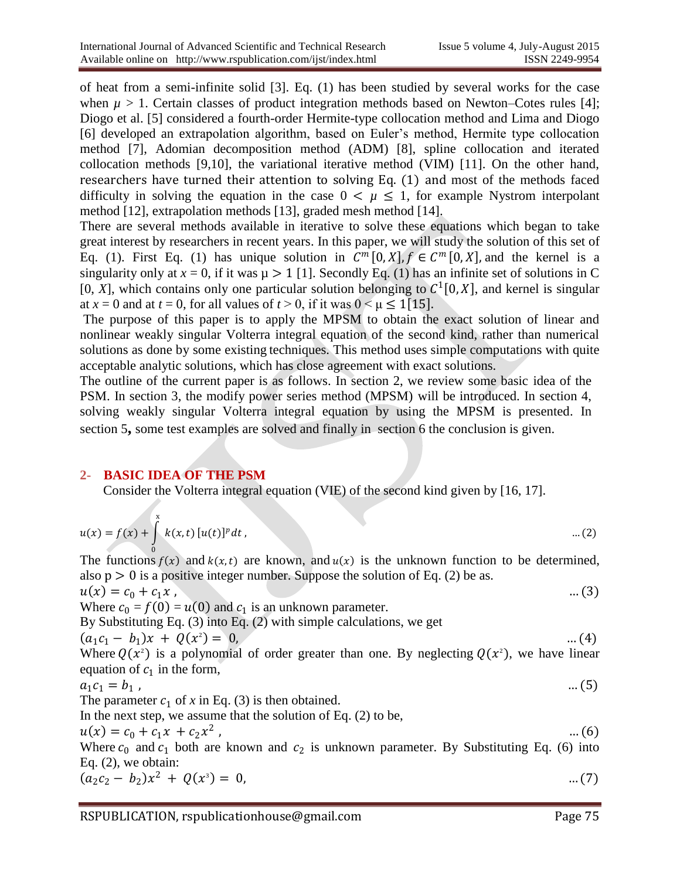of heat from a semi-infinite solid [3]. Eq. (1) has been studied by several works for the case when  $\mu > 1$ . Certain classes of product integration methods based on Newton–Cotes rules [4]; Diogo et al. [5] considered a fourth-order Hermite-type collocation method and Lima and Diogo [6] developed an extrapolation algorithm, based on Euler's method, Hermite type collocation method [7], Adomian decomposition method (ADM) [8], spline collocation and iterated collocation methods [9,10], the variational iterative method (VIM) [11]. On the other hand, researchers have turned their attention to solving Eq. (1) and most of the methods faced difficulty in solving the equation in the case  $0 < \mu \leq 1$ , for example Nystrom interpolant method [12], extrapolation methods [13], graded mesh method [14].

There are several methods available in iterative to solve these equations which began to take great interest by researchers in recent years. In this paper, we will study the solution of this set of Eq. (1). First Eq. (1) has unique solution in  $C^m[0,X]$ ,  $f \in C^m[0,X]$ , and the kernel is a singularity only at  $x = 0$ , if it was  $\mu > 1$  [1]. Secondly Eq. (1) has an infinite set of solutions in C [0, *X*], which contains only one particular solution belonging to  $C^1[0,X]$ , and kernel is singular at  $x = 0$  and at  $t = 0$ , for all values of  $t > 0$ , if it was  $0 \le \mu \le 1$  [15].

The purpose of this paper is to apply the MPSM to obtain the exact solution of linear and nonlinear weakly singular Volterra integral equation of the second kind, rather than numerical solutions as done by some existing techniques. This method uses simple computations with quite acceptable analytic solutions, which has close agreement with exact solutions.

The outline of the current paper is as follows. In section 2, we review some basic idea of the PSM. In section 3, the modify power series method (MPSM) will be introduced. In section 4, solving weakly singular Volterra integral equation by using the MPSM is presented. In section 5**,** some test examples are solved and finally in section 6 the conclusion is given.

## **2- BASIC IDEA OF THE PSM**

Consider the Volterra integral equation (VIE) of the second kind given by [16, 17].

$$
u(x) = f(x) + \int_{0}^{x} k(x, t) [u(t)]^{p} dt, \qquad \qquad \dots (2)
$$

The functions  $f(x)$  and  $k(x,t)$  are known, and  $u(x)$  is the unknown function to be determined, also p > 0 is a positive integer number. Suppose the solution of Eq. (2) be as*.* 

$$
u(x) = c_0 + c_1 x
$$
 ... (3)  
Where  $c_0 = f(0) = u(0)$  and  $c_1$  is an unknown parameter.

By Substituting Eq. (3) into Eq. (2) with simple calculations, we get  $(a, c, -$ 

$$
(a_1c_1 - b_1)x + Q(x^2) = 0,
$$
...(4)  
Where  $Q(x^2)$  is a polynomial of order greater than one. By neglecting  $Q(x^2)$ , we have linear equation of  $c_1$  in the form,

$$
a_1c_1 = b_1, \qquad \dots (5)
$$

The parameter  $c_1$  of x in Eq. (3) is then obtained.

In the next step, we assume that the solution of Eq. (2) to be,

$$
u(x) = c_0 + c_1 x + c_2 x^2
$$
 (6)

Where  $c_0$  and  $c_1$  both are known and  $c_2$  is unknown parameter. By Substituting Eq. (6) into Eq. (2), we obtain:

$$
(a_2c_2-b_2)x^2 + Q(x^3) = 0, \qquad \qquad \dots (7)
$$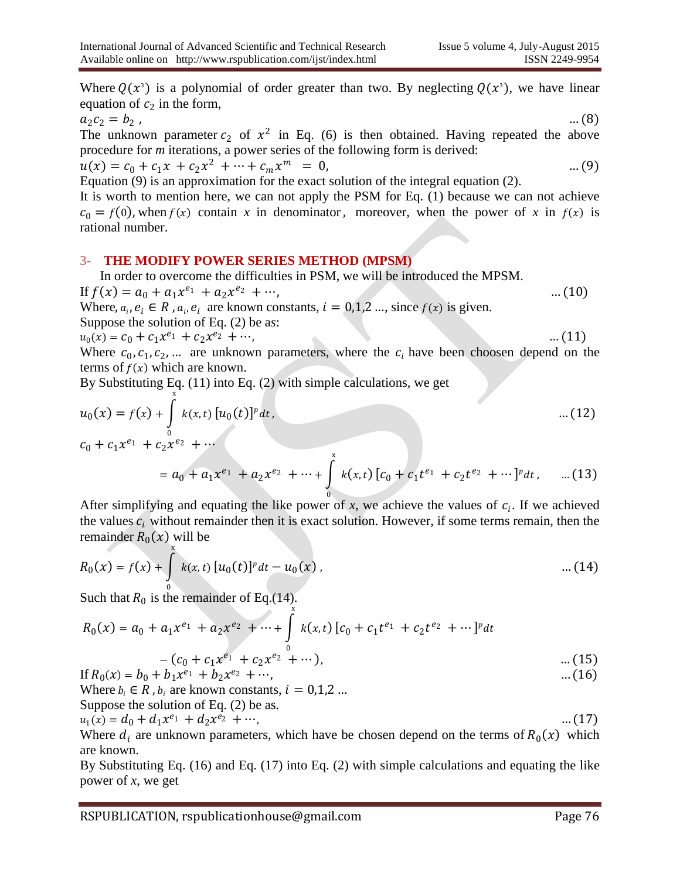Where  $Q(x^3)$  is a polynomial of order greater than two. By neglecting  $Q(x^3)$ , we have linear equation of  $c_2$  in the form,

$$
a_2c_2 = b_2 \t\t(8)
$$

The unknown parameter  $c_2$  of  $x^2$  in Eq. (6) is then obtained. Having repeated the above procedure for *m* iterations, a power series of the following form is derived:

 $u(x) = c_0 + c_1 x + c_2 x^2 + \dots + c_m x^m = 0,$  ... (9)

Equation (9) is an approximation for the exact solution of the integral equation (2).

It is worth to mention here, we can not apply the PSM for Eq. (1) because we can not achieve  $c_0 = f(0)$ , when  $f(x)$  contain x in denominator, moreover, when the power of x in  $f(x)$  is rational number.

#### 3- **THE MODIFY POWER SERIES METHOD (MPSM)**

In order to overcome the difficulties in PSM, we will be introduced the MPSM.

If 
$$
f(x) = a_0 + a_1 x^{e_1} + a_2 x^{e_2} + \cdots
$$
, ... (10)  
Where,  $a_i, e_i \in R$ ,  $a_i, e_i$  are known constants,  $i = 0, 1, 2, \ldots$ , since  $f(x)$  is given.

Suppose the solution of Eq. (2) be a*s*:

$$
u_0(x) = c_0 + c_1 x^{e_1} + c_2 x^{e_2} + \cdots, \tag{11}
$$

Where  $c_0, c_1, c_2, ...$  are unknown parameters, where the  $c_i$  have been choosen depend on the terms of  $f(x)$  which are known.

By Substituting Eq. (11) into Eq. (2) with simple calculations, we get x

$$
u_0(x) = f(x) + \int_0^x k(x, t) [u_0(t)]^p dt, \qquad \qquad \dots (12)
$$
  

$$
c_0 + c_1 x^{e_1} + c_2 x^{e_2} + \dots
$$

$$
= a_0 + a_1 x^{e_1} + a_2 x^{e_2} + \dots + \int_0^x k(x, t) \left[ c_0 + c_1 t^{e_1} + c_2 t^{e_2} + \dots \right]^{p} dt, \qquad \dots (13)
$$

After simplifying and equating the like power of  $x$ , we achieve the values of  $c_i$ . If we achieved the values  $c_i$  without remainder then it is exact solution. However, if some terms remain, then the remainder  $R_0(x)$  will be

$$
R_0(x) = f(x) + \int_0^x k(x, t) [u_0(t)]^p dt - u_0(x), \qquad \qquad \dots (14)
$$

Such that  $R_0$  is the remainder of Eq.(14).

0 = <sup>0</sup> + 1 <sup>1</sup> + 2 <sup>2</sup> + ⋯ + , x 0 <sup>0</sup> + <sup>1</sup> <sup>1</sup> + <sup>2</sup> <sup>2</sup> + ⋯ − <sup>0</sup> + 1 <sup>1</sup> + 2 <sup>2</sup> + ⋯ , … (15)

If 
$$
R_0(x) = b_0 + b_1 x^{e_1} + b_2 x^{e_2} + \cdots
$$
, ... (16)  
When  $h \in R$ ,  $h$  are known constants,  $i = 0.1.2$ 

Where  $b_i \in R$ ,  $b_i$  are known constants,  $\iota = 0,1,2...$ Suppose the solution of Eq. (2) be as*.*

Suppose the solution of Eq. (2) of as:  

$$
u_1(x) = d_0 + d_1 x^{e_1} + d_2 x^{e_2} + \cdots
$$
, (17)

Where  $d_i$  are unknown parameters, which have be chosen depend on the terms of  $R_0(x)$  which are known.

By Substituting Eq. (16) and Eq. (17) into Eq. (2) with simple calculations and equating the like power of *x*, we get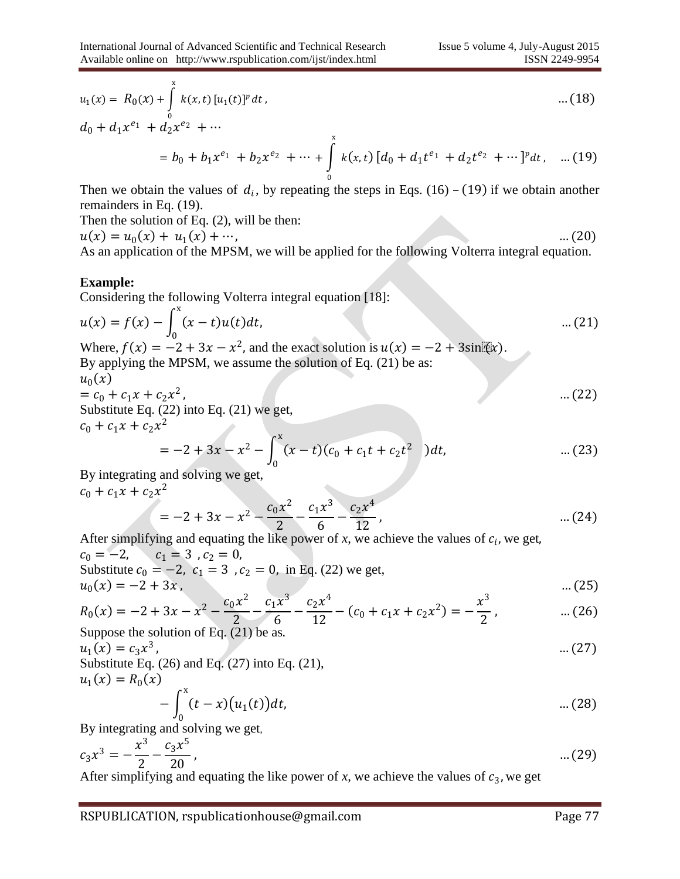$$
u_1(x) = R_0(x) + \int_0^x k(x, t) [u_1(t)]^p dt,
$$
 ... (18)

$$
d_0 + d_1 x^{e_1} + d_2 x^{e_2} + \cdots
$$
  
=  $b_0 + b_1 x^{e_1} + b_2 x^{e_2} + \cdots + \int_0^x k(x, t) [d_0 + d_1 t^{e_1} + d_2 t^{e_2} + \cdots]^p dt$ , .... (19)

Then we obtain the values of  $d_i$ , by repeating the steps in Eqs. (16) – (19) if we obtain another remainders in Eq. (19).

Then the solution of Eq. (2), will be then:

 $u(x) = u_0(x) + u_1(x) + \cdots,$  (20) As an application of the MPSM, we will be applied for the following Volterra integral equation.

#### **Example:**

Considering the following Volterra integral equation [18]:

$$
u(x) = f(x) - \int_0^x (x - t)u(t)dt, \tag{21}
$$

Where,  $f(x) = -2 + 3x - x^2$ , and the exact solution is  $u(x) = -2 + 3\sin(x)$ . By applying the MPSM, we assume the solution of Eq. (21) be as:

$$
u_0(x) = c_0 + c_1 x + c_2 x^2, \tag{22}
$$

Substitute Eq. (22) into Eq. (21) we get,  $c_0 + c_1 x + c_2 x^2$ 

$$
= -2 + 3x - x2 - \int_0^x (x - t)(c_0 + c_1t + c_2t2) dt, \qquad \qquad \dots (23)
$$

By integrating and solving we get,

$$
c_0 + c_1 x + c_2 x^2
$$
  
= -2 + 3x - x<sup>2</sup> -  $\frac{c_0 x^2}{2}$  -  $\frac{c_1 x^3}{6}$  -  $\frac{c_2 x^4}{12}$ , ... (24)

After simplifying and equating the like power of  $x$ , we achieve the values of  $c_i$ , we get,  $c_0 = -2$ ,  $c_1 = 3$ ,  $c_2 = 0$ , Substitute  $c_0 = -2$ ,  $c_1 = 3$ ,  $c_2 = 0$ , in Eq. (22) we get,  $u_0(x) = -2 + 3x$ , … (25)  $c_0 x$ 2  $c_1x$ 3  $c_2 x$ 4  $\mathcal{X}$  $\overline{2}$ 

$$
R_0(x) = -2 + 3x - x^2 - \frac{c_0 x^2}{2} - \frac{c_1 x^3}{6} - \frac{c_2 x^4}{12} - (c_0 + c_1 x + c_2 x^2) = -\frac{x^3}{2}, \qquad \dots (26)
$$

Suppose the solution of Eq. (21) be as*.*

$$
u_1(x) = c_3 x^3, \tag{27}
$$

Substitute Eq. (26) and Eq. (27) into Eq. (21),  
\n
$$
u_1(x) = R_0(x)
$$
\n
$$
- \int_0^x (t - x)(u_1(t))dt,
$$
\n
$$
...
$$
\n(28)

By integrating and solving we get,

$$
c_3 x^3 = -\frac{x^3}{2} - \frac{c_3 x^5}{20}, \qquad \dots (29)
$$

After simplifying and equating the like power of  $x$ , we achieve the values of  $c_3$ , we get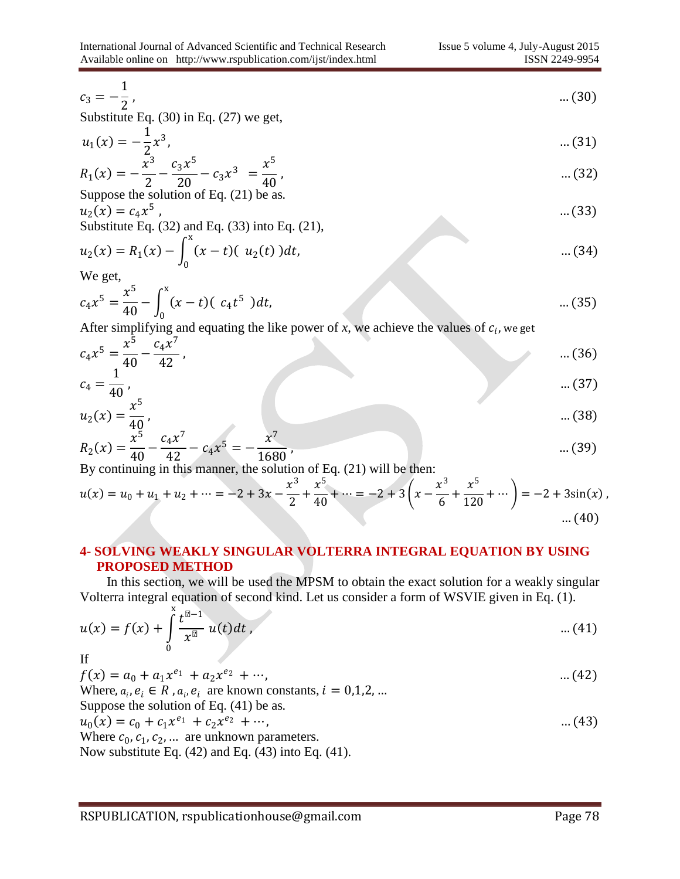$$
c_3 = -\frac{1}{2}, \tag{30}
$$

Substitute Eq. (30) in Eq. (27) we get,

$$
u_1(x) = -\frac{1}{2}x^3, \qquad \dots (31)
$$

$$
R_1(x) = -\frac{x^3}{2} - \frac{c_3 x^5}{20} - c_3 x^3 = \frac{x^5}{40},
$$
  
Suppose the solution of Eq. (21) be as. (32)

$$
u_2(x) = c_4 x^5
$$
, ... (33)  
Substitute Eq. (32) and Eq. (33) into Eq. (21),

$$
u_2(x) = R_1(x) - \int_0^x (x - t)(u_2(t))dt, \qquad \qquad \dots (34)
$$

We get,

$$
c_4 x^5 = \frac{x^5}{40} - \int_0^x (x - t)(c_4 t^5) dt, \tag{35}
$$

After simplifying and equating the like power of  $x$ , we achieve the values of  $c_i$ , we get

$$
c_4 x^5 = \frac{x^5}{40} - \frac{c_4 x^7}{42}, \qquad \dots (36)
$$
  

$$
c_4 = \frac{1}{40}, \qquad \dots (37)
$$

$$
u_2(x) = \frac{x^5}{40}, \tag{38}
$$

$$
R_2(x) = \frac{x^5}{40} - \frac{c_4 x^7}{42} - c_4 x^5 = -\frac{x^7}{1680},
$$
 ... (39)

By continuing in this manner, the solution of Eq. (21) will be then:

$$
u(x) = u_0 + u_1 + u_2 + \dots = -2 + 3x - \frac{x^3}{2} + \frac{x^5}{40} + \dots = -2 + 3\left(x - \frac{x^3}{6} + \frac{x^5}{120} + \dots\right) = -2 + 3\sin(x),
$$
\n
$$
\dots (40)
$$

#### **4- SOLVING WEAKLY SINGULAR VOLTERRA INTEGRAL EQUATION BY USING PROPOSED METHOD**

 In this section, we will be used the MPSM to obtain the exact solution for a weakly singular Volterra integral equation of second kind. Let us consider a form of WSVIE given in Eq. (1).

$$
u(x) = f(x) + \int_{0}^{x} \frac{t^{\mu - 1}}{x^{\mu}} u(t) dt, \qquad \qquad \dots (41)
$$

If

$$
f(x) = a_0 + a_1 x^{e_1} + a_2 x^{e_2} + \cdots,
$$
 (42)

Where,  $a_i$ ,  $e_i \in R$ ,  $a_i$ ,  $e_i$  are known constants,  $i = 0,1,2,...$ Suppose the solution of Eq. (41) be as*.*

$$
u_0(x) = c_0 + c_1 x^{e_1} + c_2 x^{e_2} + \cdots,
$$
 (43)

Where  $c_0$ ,  $c_1$ ,  $c_2$ , ... are unknown parameters. Now substitute Eq. (42) and Eq. (43) into Eq. (41).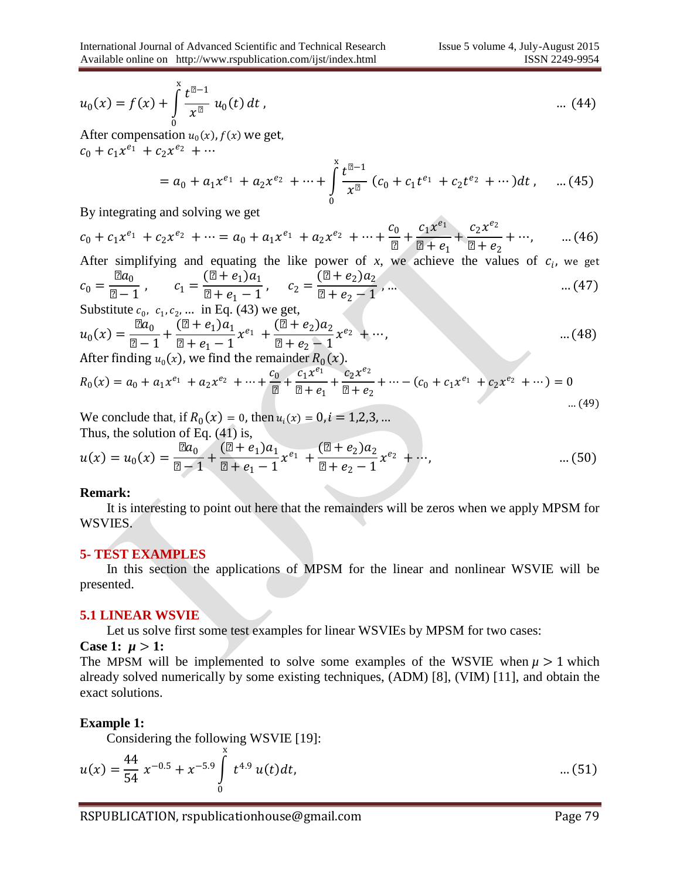$$
u_0(x) = f(x) + \int_0^x \frac{t^{\mu-1}}{x^{\mu}} u_0(t) dt,
$$
 ... (44)

After compensation  $u_0(x)$ ,  $f(x)$  we get,  $c_0 + c_1 x^{e_1} + c_2 x^{e_2} + \cdots$ 

$$
= a_0 + a_1 x^{e_1} + a_2 x^{e_2} + \dots + \int_0^x \frac{t^{\mu-1}}{x^{\mu}} \left( c_0 + c_1 t^{e_1} + c_2 t^{e_2} + \dots \right) dt, \quad \dots (45)
$$

By integrating and solving we get

 $c_0 + c_1 x^{e_1} + c_2 x^{e_2} + \dots = a_0 + a_1 x^{e_1} + a_2 x^{e_2} + \dots + \frac{c_0}{\cdots}$ µ  $+\frac{c_1x^{e_1}}{h}$  $\mu + e_1$  $+\frac{c_2x^{e_2}}{x^{e_1}}$  $\mu + e_2$  $+ \cdots$ , ... (46)

After simplifying and equating the like power of x, we achieve the values of 
$$
c_i
$$
, we get  
\n
$$
c_0 = \frac{\mu a_0}{\mu - 1}, \qquad c_1 = \frac{(\mu + e_1)a_1}{\mu + e_1 - 1}, \qquad c_2 = \frac{(\mu + e_2)a_2}{\mu + e_2 - 1}, \qquad \dots \qquad (47)
$$

Substitute  $c_0$ ,  $c_1$ ,  $c_2$ , ... in Eq. (43) we get,

$$
u_0(x) = \frac{\mu a_0}{\mu - 1} + \frac{(\mu + e_1)a_1}{\mu + e_1 - 1} x^{e_1} + \frac{(\mu + e_2)a_2}{\mu + e_2 - 1} x^{e_2} + \cdots,
$$
 (48)

After finding  $u_0(x)$ , we find the remainder  $R_0(x)$ .

$$
R_0(x) = a_0 + a_1 x^{e_1} + a_2 x^{e_2} + \dots + \frac{c_0}{\mu} + \frac{c_1 x^{e_1}}{\mu + e_1} + \frac{c_2 x^{e_2}}{\mu + e_2} + \dots - (c_0 + c_1 x^{e_1} + c_2 x^{e_2} + \dots) = 0
$$

We conclude that, if  $R_0(x) = 0$ , then  $u_i(x) = 0$ ,  $i = 1,2,3,...$ Thus, the solution of Eq. (41) is,

$$
u(x) = u_0(x) = \frac{\mu a_0}{\mu - 1} + \frac{(\mu + e_1)a_1}{\mu + e_1 - 1} x^{e_1} + \frac{(\mu + e_2)a_2}{\mu + e_2 - 1} x^{e_2} + \cdots, \qquad \qquad \dots (50)
$$

#### **Remark:**

 It is interesting to point out here that the remainders will be zeros when we apply MPSM for WSVIES.

#### **5- TEST EXAMPLES**

 In this section the applications of MPSM for the linear and nonlinear WSVIE will be presented.

#### **5.1 LINEAR WSVIE**

Let us solve first some test examples for linear WSVIEs by MPSM for two cases:

**Case 1:**  $\mu > 1$ :

The MPSM will be implemented to solve some examples of the WSVIE when  $\mu > 1$  which already solved numerically by some existing techniques, (ADM) [8], (VIM) [11], and obtain the exact solutions.

#### **Example 1:**

Considering the following WSVIE [19]:

$$
u(x) = \frac{44}{54} x^{-0.5} + x^{-5.9} \int_{0}^{x} t^{4.9} u(t) dt, \tag{51}
$$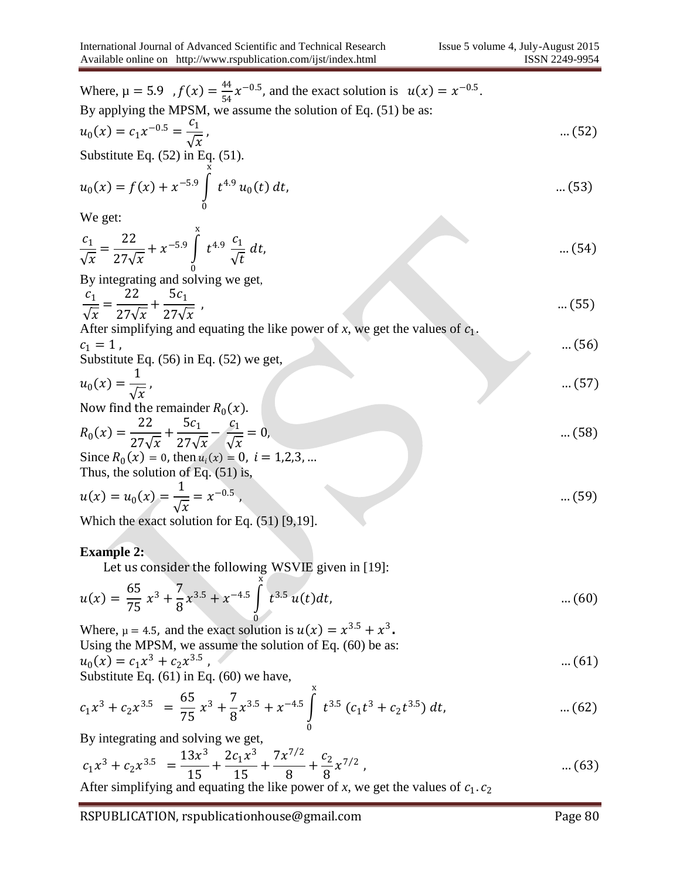Where,  $\mu = 5.9$ ,  $f(x) = \frac{44}{54}$  $\frac{44}{54}x^{-0.5}$ , and the exact solution is  $u(x) = x^{-0.5}$ . By applying the MPSM, we assume the solution of Eq. (51) be as:  $u_0(x) = c_1 x^{-0.5} = \frac{c_1}{\sqrt{2}}$  $\sqrt{x}$ , which is a set of  $(52)$ Substitute Eq. (52) in Eq. (51).  $u_0(x) = f(x) + x^{-5.9} \int t^{4.9} u_0(t) dt$ x 0  $\dots(53)$ We get:  $c_1$  $\sqrt{x}$ = 22  $27\sqrt{x}$  $+x^{-5.9} \int t^{4.9} \frac{c_1}{6}$  $\sqrt{t}$ dt, x 0  $\dots(54)$ By integrating and solving we get,  $c_1$  $\sqrt{x}$ = 22  $27\sqrt{x}$  $+\frac{5c_1}{27}$  $27\sqrt{x}$ , which is a set of  $(55)$  ...  $(55)$ After simplifying and equating the like power of  $x$ , we get the values of  $c_1$ .  $c_1 = 1$ , … (56) Substitute Eq. (56) in Eq. (52) we get,  $u_0(x) =$ 1  $\sqrt{x}$ , which is a set of  $(57)$  and  $(57)$ Now find the remainder  $R_0(x)$ .  $R_0(x) =$ 22  $27\sqrt{x}$  $+\frac{5c_1}{2}$  $27\sqrt{x}$  $-\frac{c_1}{c}$  $\sqrt{x}$  $= 0,$  … (58) Since  $R_0(x) = 0$ , then  $u_i(x) = 0$ ,  $i = 1,2,3,...$ Thus, the solution of Eq. (51) is,  $u(x) = u_0(x) =$ 1  $\sqrt{x}$  $= x^{-0.5}$ , … (59) Which the exact solution for Eq. (51) [9,19]. **Example 2:**  Let us consider the following WSVIE given in [19]:  $u(x) =$ 65  $\frac{65}{75}x^3 + \frac{7}{8}$ 8  $x^{3.5} + x^{-4.5}$  |  $t^{3.5}$   $u(t)dt$ , x 0 … (60) Where,  $\mu = 4.5$ , and the exact solution is  $u(x) = x^{3.5} + x^3$ . Using the MPSM, we assume the solution of Eq. (60) be as:  $u_0(x) = c_1 x^3 + c_2 x^{3.5}$ , which is a set of  $(61)$ Substitute Eq. (61) in Eq. (60) we have,

$$
c_1 x^3 + c_2 x^{3.5} = \frac{65}{75} x^3 + \frac{7}{8} x^{3.5} + x^{-4.5} \int_0^x t^{3.5} (c_1 t^3 + c_2 t^{3.5}) dt, \qquad \qquad \dots (62)
$$

By integrating and solving we get,

$$
c_1 x^3 + c_2 x^{3.5} = \frac{13x^3}{15} + \frac{2c_1 x^3}{15} + \frac{7x^{7/2}}{8} + \frac{c_2}{8} x^{7/2}, \tag{63}
$$

After simplifying and equating the like power of  $x$ , we get the values of  $c_1$ .  $c_2$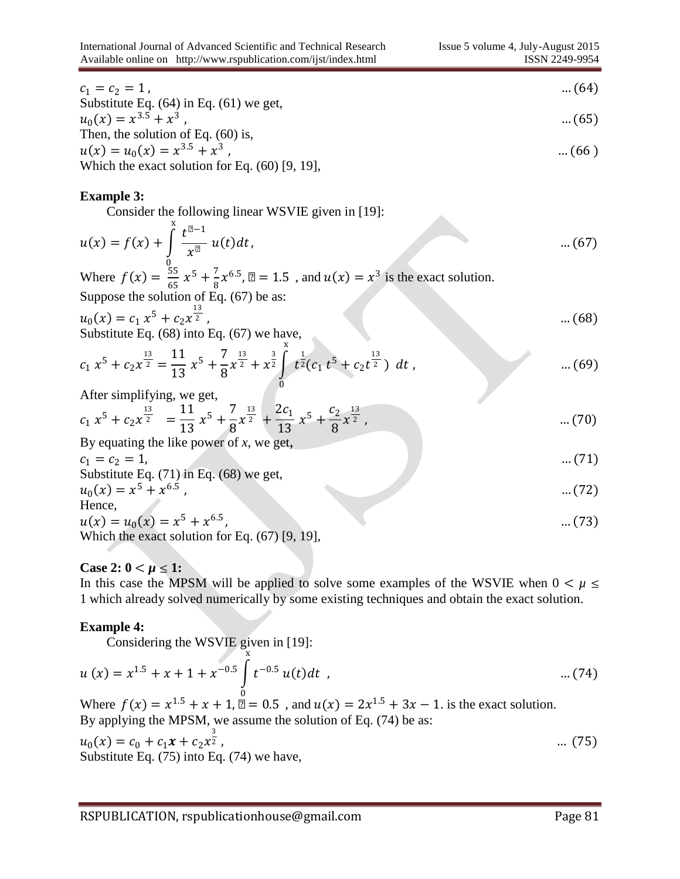$c_1 = c_2 = 1$ , … (64) Substitute Eq. (64) in Eq. (61) we get,  $u_0(x) = x^{3.5} + x^3$ , which is a set of  $(65)$ Then, the solution of Eq. (60) is,

$$
u(x) = u_0(x) = x^{3.5} + x^3
$$
...(66)  
Which the exact solution for Eq. (60) [9, 19],

#### **Example 3:**

Consider the following linear WSVIE given in [19]:

$$
u(x) = f(x) + \int_{0}^{x} \frac{t^{\mu-1}}{x^{\mu}} u(t) dt, \tag{67}
$$

Where  $f(x) = \frac{55}{65}$  $rac{55}{65}x^5 + \frac{7}{8}$  $\frac{1}{8}x^{6.5}$ ,  $\mu = 1.5$ , and  $u(x) = x^3$  is the exact solution. Suppose the solution of Eq. (67) be as:

$$
u_0(x) = c_1 x^5 + c_2 x^{\frac{13}{2}}, \tag{68}
$$

Substitute Eq. (68) into Eq. (67) we have,

$$
c_1 x^5 + c_2 x^{\frac{13}{2}} = \frac{11}{13} x^5 + \frac{7}{8} x^{\frac{13}{2}} + x^{\frac{3}{2}} \int_{0}^{x} t^{\frac{1}{2}} (c_1 t^5 + c_2 t^{\frac{13}{2}}) dt , \qquad \qquad \dots (69)
$$

After simplifying, we get,

$$
c_1 x^5 + c_2 x^{\frac{13}{2}} = \frac{11}{13} x^5 + \frac{7}{8} x^{\frac{13}{2}} + \frac{2c_1}{13} x^5 + \frac{c_2}{8} x^{\frac{13}{2}}, \qquad \dots (70)
$$

By equating the like power of *x*, we get,

$$
c_1 = c_2 = 1,
$$
 ...(71)  
Substitute Eq. (71) in Eq. (68) we get,

$$
u_0(x) = x^5 + x^{6.5}
$$
...(72)  
Hence,

$$
u(x) = u_0(x) = x^5 + x^{6.5}, \qquad \dots (73)
$$
  
Which the exact solution for Eq. (67) [9, 19],

## **Case 2:**  $0 < \mu \leq 1$ :

In this case the MPSM will be applied to solve some examples of the WSVIE when  $0 < \mu \leq$ 1 which already solved numerically by some existing techniques and obtain the exact solution.

#### **Example 4:**

Considering the WSVIE given in [19]:

$$
u(x) = x^{1.5} + x + 1 + x^{-0.5} \int_{0}^{x} t^{-0.5} u(t) dt
$$
 (74)

Where  $f(x) = x^{1.5} + x + 1$ ,  $\mu = 0.5$ , and  $u(x) = 2x^{1.5} + 3x - 1$ . is the exact solution. By applying the MPSM, we assume the solution of Eq. (74) be as:

$$
u_0(x) = c_0 + c_1 x + c_2 x^{\frac{3}{2}}, \qquad \dots (75)
$$
  
Substitute Eq. (75) into Eq. (74) we have,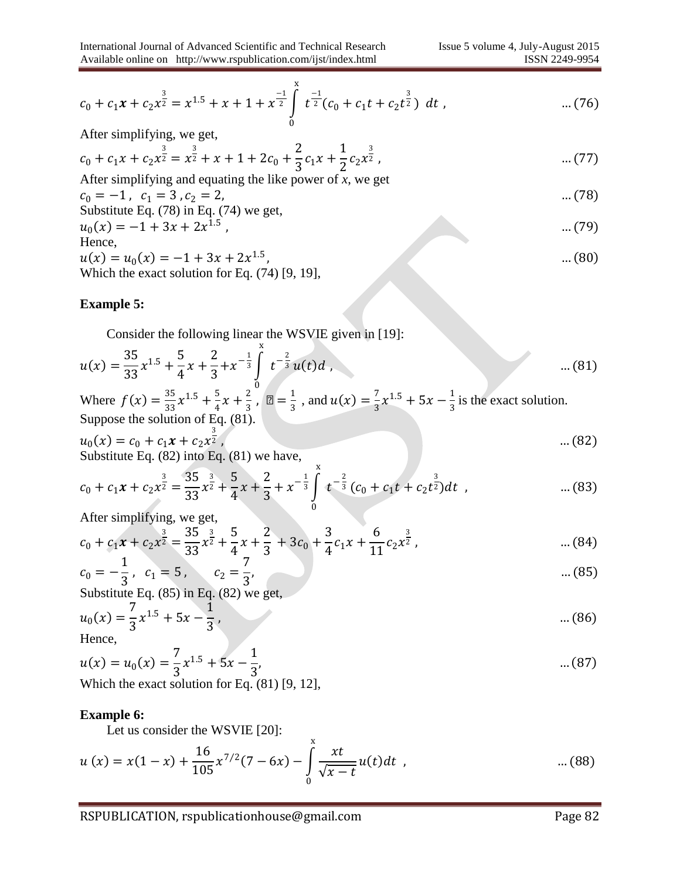$$
c_0 + c_1 x + c_2 x^{\frac{3}{2}} = x^{1.5} + x + 1 + x^{\frac{-1}{2}} \int_{0}^{x} t^{\frac{-1}{2}} (c_0 + c_1 t + c_2 t^{\frac{3}{2}}) dt , \qquad \qquad \dots (76)
$$

After simplifying, we get,

$$
c_0 + c_1 x + c_2 x^{\frac{3}{2}} = x^{\frac{3}{2}} + x + 1 + 2c_0 + \frac{2}{3}c_1 x + \frac{1}{2}c_2 x^{\frac{3}{2}},
$$
 ... (77)

After simplifying and equating the like power of x, we get  
\n
$$
c_0 = -1
$$
,  $c_1 = 3$ ,  $c_2 = 2$ , ... (78)  
\nSubstitute Eq. (78) in Eq. (74) we get,

$$
u_0(x) = -1 + 3x + 2x^{1.5}
$$
\nHence, (79)

$$
u(x) = u_0(x) = -1 + 3x + 2x^{1.5},
$$
  
Which the exact solution for Eq. (74) [9, 19],

## **Example 5:**

Consider the following linear the WSVIE given in [19]:

$$
u(x) = \frac{35}{33}x^{1.5} + \frac{5}{4}x + \frac{2}{3} + x^{-\frac{1}{3}}\int_{0}^{x} t^{-\frac{2}{3}}u(t)dt
$$
 ... (81)

Where  $f(x) = \frac{35}{23}$  $\frac{35}{33}x^{1.5} + \frac{5}{4}$  $\frac{5}{4}x + \frac{2}{3}$  $\frac{2}{3}$ ,  $\mu = \frac{1}{3}$  $\frac{1}{3}$ , and  $u(x) = \frac{7}{3}$  $\frac{7}{3}x^{1.5} + 5x - \frac{1}{3}$  $\frac{1}{3}$  is the exact solution. Suppose the solution of Eq.  $(81)$ .

$$
u_0(x) = c_0 + c_1 x + c_2 x^{\frac{3}{2}}, \qquad \dots (82)
$$
  
Substitute Eq. (82) into Eq. (81) we have,

$$
c_0 + c_1 x + c_2 x^{\frac{3}{2}} = \frac{35}{33} x^{\frac{3}{2}} + \frac{5}{4} x + \frac{2}{3} + x^{-\frac{1}{3}} \int_0^x t^{-\frac{2}{3}} (c_0 + c_1 t + c_2 t^{\frac{3}{2}}) dt , \qquad \dots (83)
$$

After simplifying, we get,

$$
c_0 + c_1 x + c_2 x^{\frac{3}{2}} = \frac{35}{33} x^{\frac{3}{2}} + \frac{5}{4} x + \frac{2}{3} + 3c_0 + \frac{3}{4} c_1 x + \frac{6}{11} c_2 x^{\frac{3}{2}}, \tag{84}
$$

$$
c_0 = -\frac{1}{3}, \quad c_1 = 5, \quad c_2 = \frac{7}{3}, \quad \dots (85)
$$

Substitute Eq. (85) in Eq. (82) we get,

$$
u_0(x) = \frac{7}{3}x^{1.5} + 5x - \frac{1}{3}, \tag{86}
$$

Hence,

$$
u(x) = u_0(x) = \frac{7}{3}x^{1.5} + 5x - \frac{1}{3},
$$
  
Which the exact solution for Eq. (81) [9, 12],

#### **Example 6:**

Let us consider the WSVIE [20]:

$$
u(x) = x(1-x) + \frac{16}{105}x^{7/2}(7-6x) - \int_{0}^{x} \frac{xt}{\sqrt{x-t}}u(t)dt , \qquad \qquad \dots (88)
$$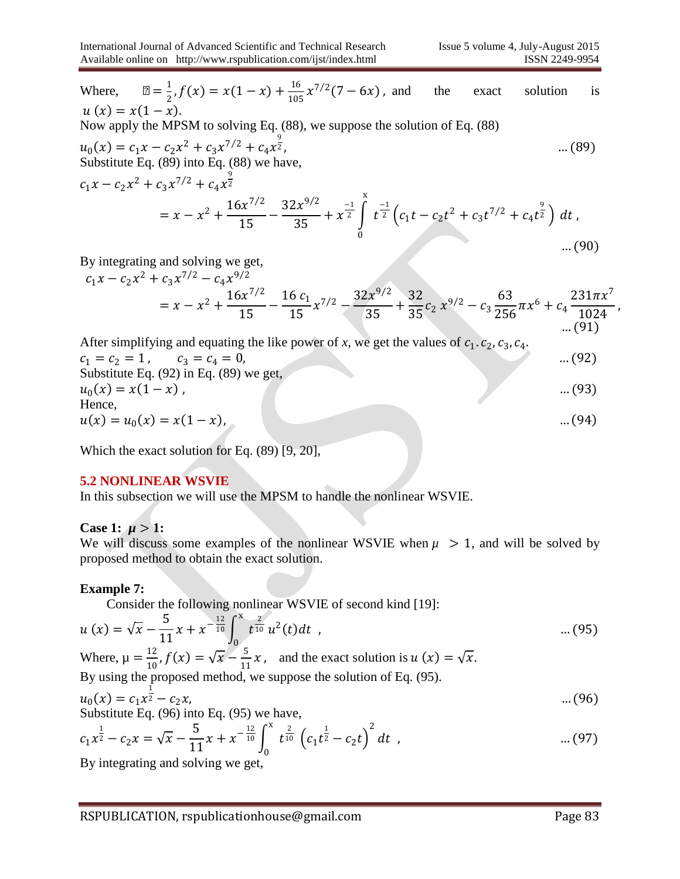$\overline{16}$ 

Where, 
$$
\mu = \frac{1}{2}
$$
,  $f(x) = x(1 - x) + \frac{16}{105}x^{7/2}(7 - 6x)$ , and the exact solution is  
\n $u(x) = x(1 - x)$ .  
\nNow apply the MPSM to solving Eq. (88), we suppose the solution of Eq. (88)  
\n $u_0(x) = c_1x - c_2x^2 + c_3x^{7/2} + c_4x^{\frac{9}{2}}$ ...(89) into Eq. (88) we have,  
\n $c_1x - c_2x^2 + c_3x^{7/2} + c_4x^{\frac{9}{2}}$   
\n $= x - x^2 + \frac{16x^{7/2}}{15} - \frac{32x^{9/2}}{35} + x^{\frac{-1}{2}} \int_0^x t^{\frac{-1}{2}} (c_1t - c_2t^2 + c_3t^{7/2} + c_4t^{\frac{9}{2}}) dt$ ,...(90)  
\nBy integrating and solving we get,  
\n $c_1x - c_2x^2 + c_3x^{7/2} - c_4x^{9/2}$   
\n $= x - x^2 + \frac{16x^{7/2}}{15} - \frac{16c_1}{15}x^{7/2} - \frac{32x^{9/2}}{35} + \frac{32}{35}c_2x^{9/2} - c_3\frac{63}{256}\pi x^6 + c_4\frac{231\pi x^7}{1024}$ ,

After simplifying and equating the like power of x, we get the values of 
$$
c_1
$$
.  $c_2$ ,  $c_3$ ,  $c_4$ .  
\n $c_1 = c_2 = 1$ ,  $c_3 = c_4 = 0$ , ... (92)  
\nSubstitute Eq. (92) in Eq. (89) we get,  
\n $u_0(x) = x(1 - x)$ , ... (93)  
\nHence,  
\n $u(x) = u_0(x) = x(1 - x)$ , ... (94)

Which the exact solution for Eq. (89) [9, 20],

#### **5.2 NONLINEAR WSVIE**

In this subsection we will use the MPSM to handle the nonlinear WSVIE.

#### **Case 1:**  $\mu > 1$ :

We will discuss some examples of the nonlinear WSVIE when  $\mu > 1$ , and will be solved by proposed method to obtain the exact solution.

#### **Example 7:**

Consider the following nonlinear WSVIE of second kind [19]:

$$
u(x) = \sqrt{x} - \frac{5}{11}x + x^{-\frac{12}{10}} \int_0^x \frac{t^{\frac{2}{10}}}{t^{\frac{2}{10}}} u^2(t) dt
$$
 (95)

Where,  $\mu = \frac{12}{10}$  $\frac{12}{10}$ ,  $f(x) = \sqrt{x} - \frac{5}{11}$  $\frac{3}{11}x$ , and the exact solution is  $u(x) = \sqrt{x}$ .

By using the proposed method, we suppose the solution of Eq. 
$$
(95)
$$
.

$$
u_0(x) = c_1 x^2 - c_2 x, \tag{96}
$$

Substitute Eq. (96) into Eq. (95) we have,

$$
c_1 x^{\frac{1}{2}} - c_2 x = \sqrt{x} - \frac{5}{11} x + x^{-\frac{12}{10}} \int_0^x t^{\frac{2}{10}} (c_1 t^{\frac{1}{2}} - c_2 t)^2 dt , \qquad \qquad \dots (97)
$$

By integrating and solving we get,

… (91)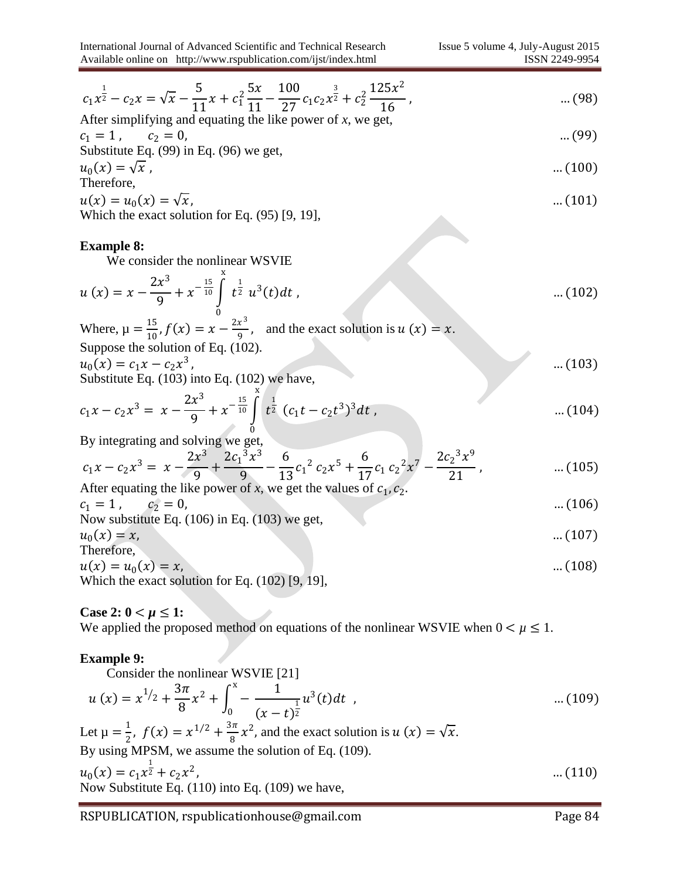$$
c_1 x^{\frac{1}{2}} - c_2 x = \sqrt{x} - \frac{5}{11} x + c_1^2 \frac{5x}{11} - \frac{100}{27} c_1 c_2 x^{\frac{3}{2}} + c_2^2 \frac{125x^2}{16}, \qquad \dots (98)
$$

After simplifying and equating the like power of x, we get,  

$$
c_1 = 1
$$
,  $c_2 = 0$ , ... (99)

Substitute Eq. (99) in Eq. (96) we get,

$$
u_0(x) = \sqrt{x}, \qquad \qquad \dots (100)
$$
Therefore,

$$
u(x) = u_0(x) = \sqrt{x}
$$
, ... (101)  
Which the exact solution for Eq. (95) [9, 19],

#### **Example 8:**

We consider the nonlinear WSVIE

$$
u(x) = x - \frac{2x^3}{9} + x^{-\frac{15}{10}} \int_{0}^{x} t^{\frac{1}{2}} u^3(t) dt
$$
 ... (102)

Where,  $\mu = \frac{15}{10}$  $\frac{15}{10}$ ,  $f(x) = x - \frac{2x^3}{9}$  $\frac{x}{9}$ , and the exact solution is  $u(x) = x$ . Suppose the solution of Eq. (102).

$$
u_0(x) = c_1 x - c_2 x^3,
$$
 ... (103)  
Substitute Eq. (103) into Eq. (102) we have,

$$
c_1x - c_2x^3 = x - \frac{2x^3}{9} + x^{-\frac{15}{10}} \int_{0}^{x} t^{\frac{1}{2}} (c_1t - c_2t^3)^3 dt
$$
 ... (104)

0 By integrating and solving we get,

$$
c_1 x - c_2 x^3 = x - \frac{2x^3}{9} + \frac{2c_1^3 x^3}{9} - \frac{6}{13} c_1^2 c_2 x^5 + \frac{6}{17} c_1 c_2^2 x^7 - \frac{2c_2^3 x^9}{21}, \qquad \qquad \dots (105)
$$

After equating the like power of x, we get the values of 
$$
c_1
$$
,  $c_2$ .  
\n $c_1 = 1$ ,  $c_2 = 0$ , ... (106)  
\nNow substitute Eq. (106) in Eq. (103) we get,

$$
u_0(x) = x,
$$
 ... (107)  
Therefore,

$$
u(x) = u_0(x) = x,
$$
...(108)  
Which the exact solution for Eq. (102) [0, 10]

Which the exact solution for Eq. (102) [9, 19],

#### **Case 2:**  $0 < \mu \leq 1$ :

We applied the proposed method on equations of the nonlinear WSVIE when  $0 < \mu \leq 1$ .

#### **Example 9:**

Consider the nonlinear WSVIE [21]  
\n
$$
u(x) = x^{1/2} + \frac{3\pi}{8}x^2 + \int_0^x - \frac{1}{(x-t)^{\frac{1}{2}}}u^3(t)dt
$$
\n... (109)  
\nLet  $\mu = \frac{1}{2}$ ,  $f(x) = x^{1/2} + \frac{3\pi}{8}x^2$ , and the exact solution is  $u(x) = \sqrt{x}$ .  
\nBy using MPSM, we assume the solution of Eq. (109).

$$
u_0(x) = c_1 x^{\frac{1}{2}} + c_2 x^2,
$$
 ... (110)  
Now Substitute Eq. (110) into Eq. (109) we have,

RSPUBLICATION, rspublicationhouse@gmail.com Page 84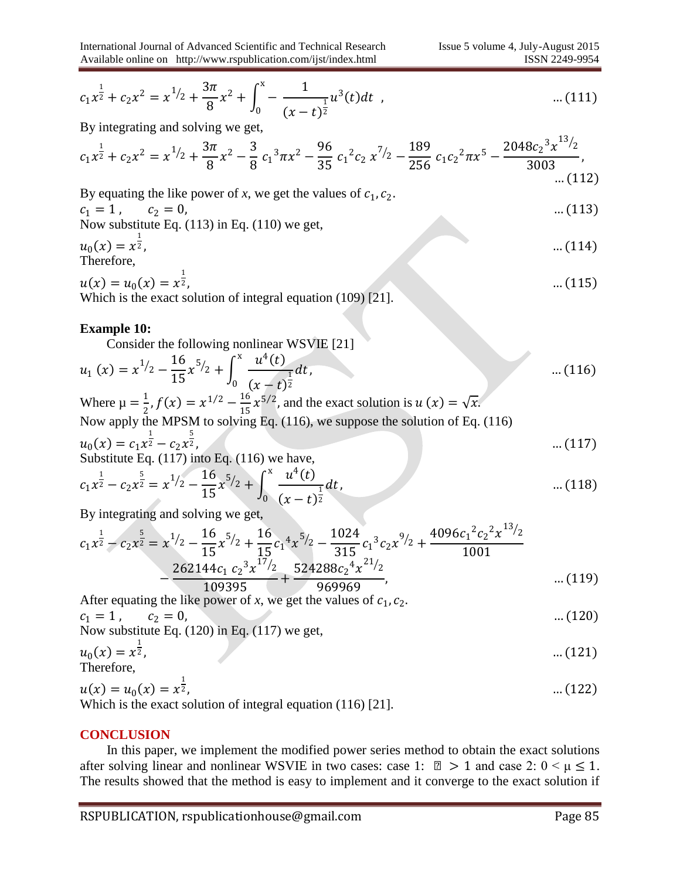$12.$ 

$$
c_1 x^{\frac{1}{2}} + c_2 x^2 = x^{1/2} + \frac{3\pi}{8} x^2 + \int_0^x \left(-\frac{1}{(x-t)^{\frac{1}{2}}} u^3(t) dt\right), \qquad \qquad \dots (111)
$$

By integrating and solving we get,

$$
c_1x^{\frac{1}{2}} + c_2x^2 = x^{1/2} + \frac{3\pi}{8}x^2 - \frac{3}{8}c_1^3\pi x^2 - \frac{96}{35}c_1^2c_2x^{7/2} - \frac{189}{256}c_1c_2^2\pi x^5 - \frac{2048c_2^3x^{13/2}}{3003},\tag{112}
$$

By equating the like power of  $x$ , we get the values of  $c_1$ ,  $c_2$ .  $c_1 = 1$ ,  $c_2 = 0$ , … (113) Now substitute Eq. (113) in Eq. (110) we get,  $u_0(x) = x^{\frac{1}{2}}$  $\frac{1}{2}$ , ... (114) Therefore,

$$
u(x) = u_0(x) = x^{\frac{1}{2}},
$$
 ... (115)  
Which is the exact solution of integral equation (109) [21].

#### **Example 10:**

Consider the following nonlinear WSVIE [21]

$$
u_1(x) = x^{1/2} - \frac{16}{15}x^{5/2} + \int_0^x \frac{u^4(t)}{(x-t)^{\frac{1}{2}}} dt, \qquad \qquad \dots (116)
$$

Where 
$$
\mu = \frac{1}{2}
$$
,  $f(x) = x^{1/2} - \frac{16}{15}x^{5/2}$ , and the exact solution is  $u(x) = \sqrt{x}$ .  
Now apply the MPSM to solving Eq. (116), we suppose the solution of Eq. (116)  
 $u_0(x) = c_1x^{\frac{1}{2}} - c_2x^{\frac{5}{2}}$ , ... (117)  
Substituting Eq. (117) into Eq. (116) we have

Substitute Eq. (117) into Eq. (116) we have,

$$
c_1 x^{\frac{1}{2}} - c_2 x^{\frac{5}{2}} = x^{1/2} - \frac{16}{15} x^{5/2} + \int_0^x \frac{u^4(t)}{(x-t)^{\frac{1}{2}}} dt, \qquad \qquad \dots (118)
$$

By integrating and solving we get,

$$
c_1x^{\frac{1}{2}} - c_2x^{\frac{5}{2}} = x^{1/2} - \frac{16}{15}x^{5/2} + \frac{16}{15}c_1x^{5/2} - \frac{1024}{315}c_1x^{3/2} + \frac{4096c_1x^{2}c_2x^{1/2}}{1001} - \frac{262144c_1c_2x^{7/2}}{109395} + \frac{524288c_2x^{7/2}}{969969}, \qquad \dots (119)
$$

After equating the like power of  $x$ , we get the values of  $c_1$ ,  $c_2$ .

$$
c_1 = 1
$$
,  $c_2 = 0$ , ... (120)  
Now substitute Eq. (120) in Eq. (117) we get,

Now substitute Eq. (120) in Eq. (117) we get,  

$$
u_0(x) = x^{\frac{1}{2}}, \qquad \qquad \dots (121)
$$

Therefore,

$$
u(x) = u_0(x) = x^{\frac{1}{2}},
$$
...(122)  
Which is the exact solution of integral equation (116) [21]

Which is the exact solution of integral equation (116) [21].

#### **CONCLUSION**

 In this paper, we implement the modified power series method to obtain the exact solutions after solving linear and nonlinear WSVIE in two cases: case 1:  $\mu > 1$  and case 2:  $0 < \mu \le 1$ . The results showed that the method is easy to implement and it converge to the exact solution if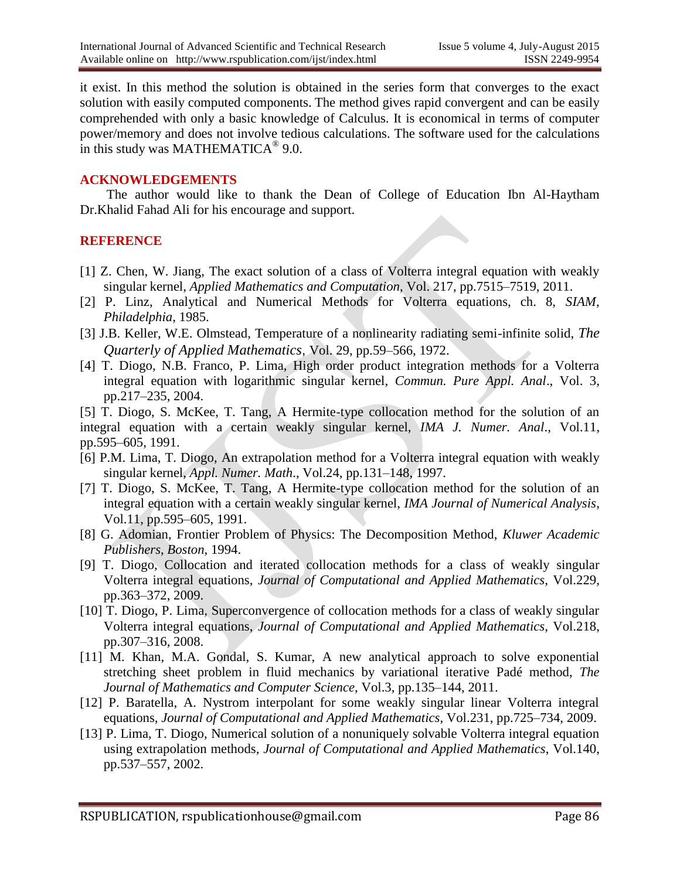it exist. In this method the solution is obtained in the series form that converges to the exact solution with easily computed components. The method gives rapid convergent and can be easily comprehended with only a basic knowledge of Calculus. It is economical in terms of computer power/memory and does not involve tedious calculations. The software used for the calculations in this study was MATHEMATICA<sup>®</sup> 9.0.

#### **ACKNOWLEDGEMENTS**

 The author would like to thank the Dean of College of Education Ibn Al-Haytham Dr.Khalid Fahad Ali for his encourage and support.

#### **REFERENCE**

- [1] Z. Chen, W. Jiang, The exact solution of a class of Volterra integral equation with weakly singular kernel, *Applied Mathematics and Computation*, Vol. 217, pp.7515–7519, 2011.
- [2] P. Linz, Analytical and Numerical Methods for Volterra equations, ch. 8, *SIAM*, *Philadelphia*, 1985.
- [3] J.B. Keller, W.E. Olmstead, Temperature of a nonlinearity radiating semi-infinite solid, *The Quarterly of Applied Mathematics*, Vol. 29, pp.59–566, 1972.
- [4] T. Diogo, N.B. Franco, P. Lima, High order product integration methods for a Volterra integral equation with logarithmic singular kernel, *Commun. Pure Appl. Anal*., Vol. 3, pp.217–235, 2004.

[5] T. Diogo, S. McKee, T. Tang, A Hermite-type collocation method for the solution of an integral equation with a certain weakly singular kernel, *IMA J. Numer. Anal*., Vol.11, pp.595–605, 1991.

- [6] P.M. Lima, T. Diogo, An extrapolation method for a Volterra integral equation with weakly singular kernel, *Appl. Numer. Math*., Vol.24, pp.131–148, 1997.
- [7] T. Diogo, S. McKee, T. Tang, A Hermite-type collocation method for the solution of an integral equation with a certain weakly singular kernel, *IMA Journal of Numerical Analysis*, Vol.11, pp.595–605, 1991.
- [8] G. Adomian, Frontier Problem of Physics: The Decomposition Method, *Kluwer Academic Publishers*, *Boston*, 1994.
- [9] T. Diogo, Collocation and iterated collocation methods for a class of weakly singular Volterra integral equations, *Journal of [Computational](http://www.sciencedirect.com/science/journal/03770427) and Applied Mathematics*, Vol.229, pp.363–372, 2009.
- [10] T. Diogo, P. Lima, Superconvergence of collocation methods for a class of weakly singular Volterra integral equations, *Journal of [Computational](http://www.sciencedirect.com/science/journal/03770427) and Applied Mathematics*, Vol.218, pp.307–316, 2008.
- [11] M. Khan, M.A. Gondal, S. Kumar, A new analytical approach to solve exponential stretching sheet problem in fluid mechanics by variational iterative Padé method, *The Journal of Mathematics and Computer Science*, Vol.3, pp.135–144, 2011.
- [12] P. Baratella, A. Nystrom interpolant for some weakly singular linear Volterra integral equations, *Journal of [Computational](http://www.sciencedirect.com/science/journal/03770427) and Applied Mathematics*, Vol.231, pp.725–734, 2009.
- [13] P. Lima, T. Diogo, Numerical solution of a nonuniquely solvable Volterra integral equation using extrapolation methods, *Journal of [Computational](http://www.sciencedirect.com/science/journal/03770427) and Applied Mathematics*, Vol.140, pp.537–557, 2002.